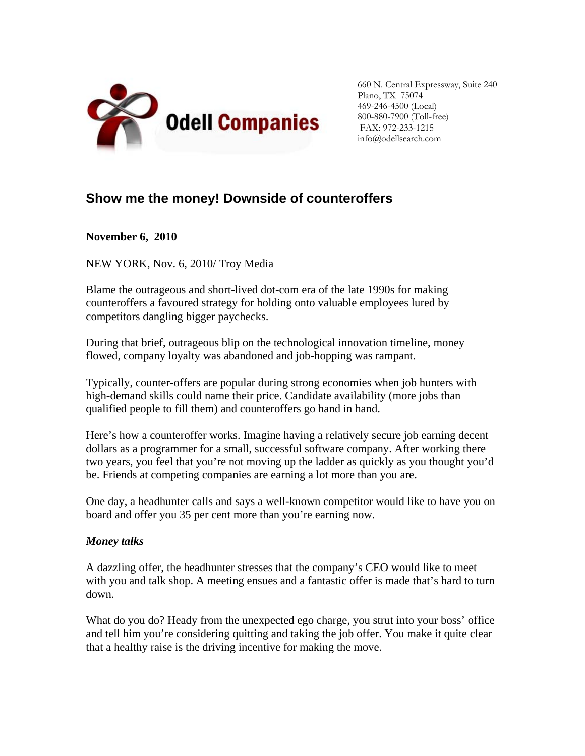

660 N. Central Expressway, Suite 240 Plano, TX 75074 469-246-4500 (Local) 800-880-7900 (Toll-free) FAX: 972-233-1215 info@odellsearch.com

## **Show me the money! Downside of counteroffers**

**November 6, 2010**

NEW YORK, Nov. 6, 2010/ Troy Media

Blame the outrageous and short-lived dot-com era of the late 1990s for making counteroffers a favoured strategy for holding onto valuable employees lured by competitors dangling bigger paychecks.

During that brief, outrageous blip on the technological innovation timeline, money flowed, company loyalty was abandoned and job-hopping was rampant.

Typically, counter-offers are popular during strong economies when job hunters with high-demand skills could name their price. Candidate availability (more jobs than qualified people to fill them) and counteroffers go hand in hand.

Here's how a counteroffer works. Imagine having a relatively secure job earning decent dollars as a programmer for a small, successful software company. After working there two years, you feel that you're not moving up the ladder as quickly as you thought you'd be. Friends at competing companies are earning a lot more than you are.

One day, a headhunter calls and says a well-known competitor would like to have you on board and offer you 35 per cent more than you're earning now.

## *Money talks*

A dazzling offer, the headhunter stresses that the company's CEO would like to meet with you and talk shop. A meeting ensues and a fantastic offer is made that's hard to turn down.

What do you do? Heady from the unexpected ego charge, you strut into your boss' office and tell him you're considering quitting and taking the job offer. You make it quite clear that a healthy raise is the driving incentive for making the move.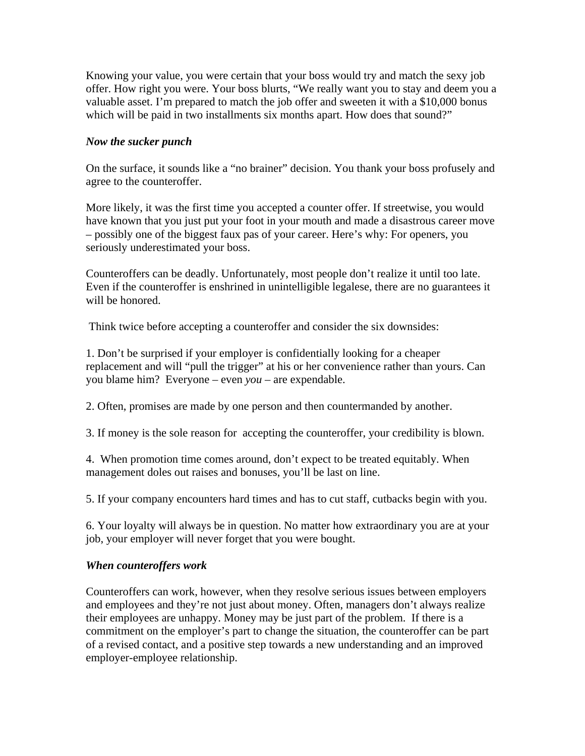Knowing your value, you were certain that your boss would try and match the sexy job offer. How right you were. Your boss blurts, "We really want you to stay and deem you a valuable asset. I'm prepared to match the job offer and sweeten it with a \$10,000 bonus which will be paid in two installments six months apart. How does that sound?"

## *Now the sucker punch*

On the surface, it sounds like a "no brainer" decision. You thank your boss profusely and agree to the counteroffer.

More likely, it was the first time you accepted a counter offer. If streetwise, you would have known that you just put your foot in your mouth and made a disastrous career move – possibly one of the biggest faux pas of your career. Here's why: For openers, you seriously underestimated your boss.

Counteroffers can be deadly. Unfortunately, most people don't realize it until too late. Even if the counteroffer is enshrined in unintelligible legalese, there are no guarantees it will be honored.

Think twice before accepting a counteroffer and consider the six downsides:

1. Don't be surprised if your employer is confidentially looking for a cheaper replacement and will "pull the trigger" at his or her convenience rather than yours. Can you blame him? Everyone – even *you* – are expendable.

2. Often, promises are made by one person and then countermanded by another.

3. If money is the sole reason for accepting the counteroffer, your credibility is blown.

4. When promotion time comes around, don't expect to be treated equitably. When management doles out raises and bonuses, you'll be last on line.

5. If your company encounters hard times and has to cut staff, cutbacks begin with you.

6. Your loyalty will always be in question. No matter how extraordinary you are at your job, your employer will never forget that you were bought.

## *When counteroffers work*

Counteroffers can work, however, when they resolve serious issues between employers and employees and they're not just about money. Often, managers don't always realize their employees are unhappy. Money may be just part of the problem. If there is a commitment on the employer's part to change the situation, the counteroffer can be part of a revised contact, and a positive step towards a new understanding and an improved employer-employee relationship.